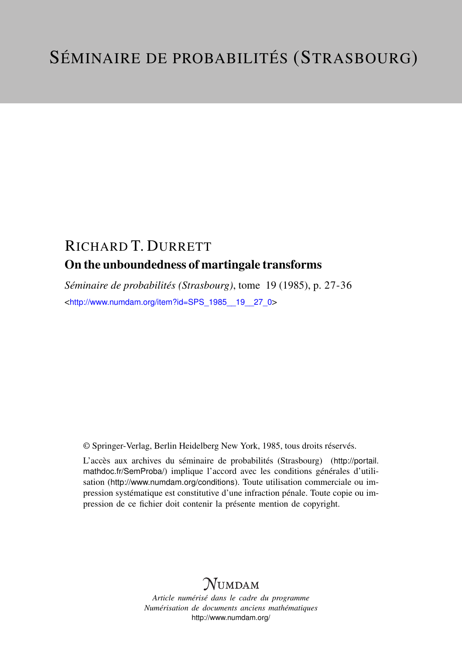## RICHARD T. DURRETT On the unboundedness of martingale transforms

*Séminaire de probabilités (Strasbourg)*, tome 19 (1985), p. 27-36 <[http://www.numdam.org/item?id=SPS\\_1985\\_\\_19\\_\\_27\\_0](http://www.numdam.org/item?id=SPS_1985__19__27_0)>

© Springer-Verlag, Berlin Heidelberg New York, 1985, tous droits réservés.

L'accès aux archives du séminaire de probabilités (Strasbourg) ([http://portail.](http://portail.mathdoc.fr/SemProba/) [mathdoc.fr/SemProba/](http://portail.mathdoc.fr/SemProba/)) implique l'accord avec les conditions générales d'utilisation (<http://www.numdam.org/conditions>). Toute utilisation commerciale ou impression systématique est constitutive d'une infraction pénale. Toute copie ou impression de ce fichier doit contenir la présente mention de copyright.

# **NUMDAM**

*Article numérisé dans le cadre du programme Numérisation de documents anciens mathématiques* <http://www.numdam.org/>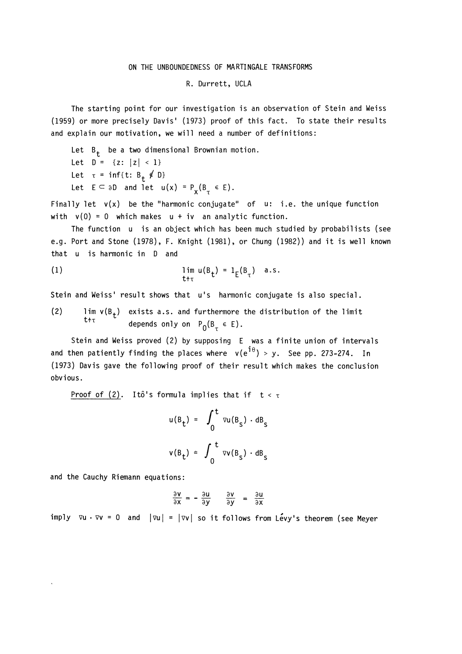### ON THE UNBOUNDEDNESS OF MARTINGALE TRANSFORMS

### R. Durrett, UCLA

The starting point for our investigation is an observation of Stein and Weiss (1959) or more precisely Davis' (1973) proof of this fact. To state their results and explain our motivation, we will need a number of definitions:

Let  $B_t$  be a two dimensional Brownian motion. Let  $D = \{z: |z| < 1\}$ Let  $\tau = \inf\{t: B_{+} \neq 0\}$ Let  $E \subseteq \partial D$  and let  $u(x) = P_x(B_x \in E)$ .

Finally let  $v(x)$  be the "harmonic conjugate" of  $u:$  i.e. the unique function with  $v(0) = 0$  which makes  $u + iv$  an analytic function.

The function u is an object which has been much studied by probabilists (see e.g. Port and Stone (1978), F. Knight (1981), or Chung (1982)) and it is well known that u is harmonic in D and

(1) 
$$
\lim_{t \uparrow \tau} u(B_t) = 1_E(B_\tau) \quad a.s.
$$

Stein and Weiss' result shows that u's harmonic conjugate is also special.

(2) lim  $v(B_+)$  exists a.s. and furthermore the distribution of the limit depends only on  $P_0(B_\tau \in E)$ .

Stein and Weiss proved (2) by supposing E was a finite union of intervals and then patiently finding the places where  $v(e^{i\theta}) > y$ . See pp. 273-274. In (1973) Davis gave the following proof of their result which makes the conclusion obvious.

Proof of (2). Itô's formula implies that if  $t < \tau$ 

$$
u(B_t) = \int_0^t \nu u(B_s) \cdot dB_s
$$
  

$$
v(B_t) = \int_0^t \nu v(B_s) \cdot dB_s
$$

and the Cauchy Riemann equations:

$$
\frac{\partial v}{\partial x} = -\frac{\partial u}{\partial y} \qquad \frac{\partial v}{\partial y} = \frac{\partial u}{\partial x}
$$

imply  $\nabla u \cdot \nabla v = 0$  and  $|\nabla u| = |\nabla v|$  so it follows from Levy's theorem (see Meyer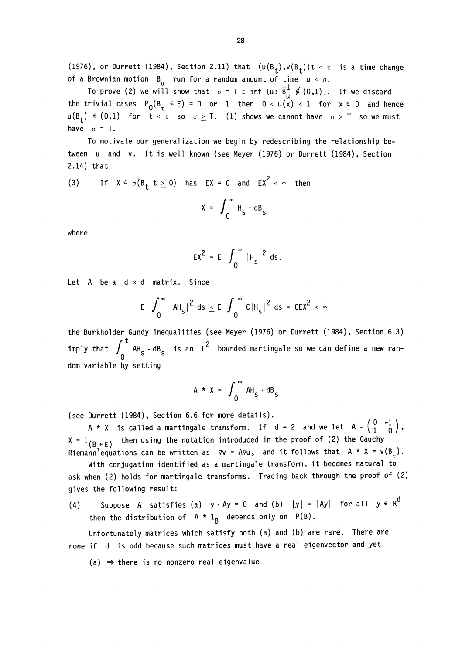(1976), or Durrett (1984), Section 2.11) that  $(u(B_t), v(B_t))t < \tau$  is a time change of a Brownian motion  $\overline{B}_{11}$  run for a random amount of time  $u < \sigma$ .

To prove (2) we will show that  $\sigma = T = \inf \{u: \overline{B}_{\Pi}^1 \notin (0,1)\}\.$  If we discard the trivial cases  $P_0(B_\tau \in E) = 0$  or 1 then  $0 < u(x) < 1$  for  $x \in D$  and hence  $u(B_+) \in (0,1)$  for  $t < \tau$  so  $\sigma \geq T$ . (1) shows we cannot have  $\sigma > T$  so we must have  $\sigma = T$ .

To motivate our generalization we begin by redescribing the relationship between u and v. It is well known (see Meyer (1976) or Durrett (1984), Section 2.14) that

(3) If 
$$
X \in \sigma(B_t, t \ge 0)
$$
 has  $EX = 0$  and  $EX^2 < \infty$  then  

$$
X = \int_0^\infty H_s \cdot dB_s
$$

where

$$
EX^{2} = E \int_{0}^{\infty} |H_{s}|^{2} ds.
$$

Let  $A$  be a  $d \times d$  matrix. Since

$$
E \int_0^\infty |AH_s|^2 ds \le E \int_0^\infty C|H_s|^2 ds = CEX^2 < \infty
$$

the Burkholder Gundy inequalities (see Meyer (1976) or Durrett (1984), Section 6.3) imply that  $\int_{0}^{t}$  AH<sub>S</sub>  $\cdot$  dB<sub>S</sub> is an L<sup>2</sup> bounded martingale so we can define a new random variable by setting

$$
A \star X = \int_0^\infty AH_s \cdot dB_s
$$

(see Durrett (1984), Section 6.6 for more details).

A \* X is called a martingale transform. If d = 2 and we let  $A = \begin{pmatrix} 0 & -1 \\ 1 & 0 \end{pmatrix}$ ,  $X = 1_{(B \in E)}$  then using the notation introduced in the proof of (2) the Cauchy Riemann<sup>T</sup>equations can be written as  $\nabla v = Avu$ , and it follows that  $A * X = v(B<sub>+</sub>)$ .

With conjugation identified as a martingale transform, it becomes natural to ask when (2) holds for martingale transforms. Tracing back through the proof of (2) gives the following result:

(4) Suppose A satisfies (a)  $y \cdot Ay = 0$  and (b)  $|y| = |Ay|$  for all  $y \in R^d$ then the distribution of  $A * 1_B$  depends only on  $P(B)$ .

Unfortunately matrices which satisfy both (a) and (b) are rare. There are none if d is odd because such matrices must have a real eigenvector and yet

 $(a) \Rightarrow$  there is no nonzero real eigenvalue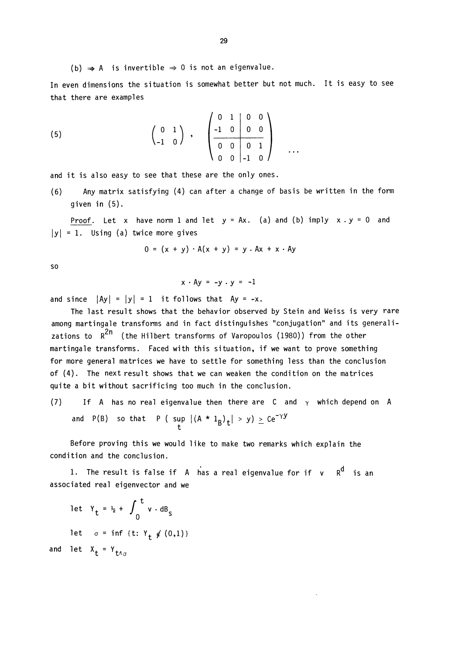(b)  $\Rightarrow$  A is invertible  $\Rightarrow$  0 is not an eigenvalue.

In even dimensions the situation is somewhat better but not much. It is easy to see that there are examples

(5) 
$$
\begin{pmatrix} 0 & 1 \\ -1 & 0 \end{pmatrix}
$$
,  $\begin{pmatrix} 0 & 1 & 0 & 0 \\ -1 & 0 & 0 & 0 \\ 0 & 0 & 0 & 1 \\ 0 & 0 & -1 & 0 \end{pmatrix}$  ...

and it is also easy to see that these are the only ones.

(6) Any matrix satisfying (4) can after a change of basis be written in the form given in (5).

Proof. Let x have norm 1 and let  $y = Ax$ . (a) and (b) imply  $x \cdot y = 0$  and  $|y| = 1$ . Using (a) twice more gives

$$
0 = (x + y) \cdot A(x + y) = y \cdot Ax + x \cdot Ay
$$

so

$$
x \cdot Ay = -y \cdot y = -1
$$

and since  $|Ay| = |y| = 1$  it follows that  $Ay = -x$ .

The last result shows that the behavior observed by Stein and Weiss is very rare among martingale transforms and in fact distinguishes "conjugation" and its generalizations to  $R^{2n}$  (the Hilbert transforms of Varopoulos (1980)) from the other martingale transforms. Faced with this situation, if we want to prove something for more general matrices we have to settle for something less than the conclusion of (4). The next result shows that we can weaken the condition on the matrices quite a bit without sacrificing too much in the conclusion,

(7) If A has no real eigenvalue then there are C and  $\gamma$  which depend on A and P(B) so that P (  $\sup_{t} |(A * 1_B)_t| > y$ )  $\geq Ce^{-\gamma y}$ 

Before proving this we would like to make two remarks which explain the condition and the conclusion.

1. The result is false if A has a real eigenvalue for if  $v$  R<sup>d</sup> is an associated real eigenvector and we

let 
$$
Y_t = I_2 + \int_0^t v \cdot dB_s
$$
  
let  $\sigma = \inf \{t: Y_t \notin (0,1)\}$   
and let  $X_t = Y_{t \wedge \sigma}$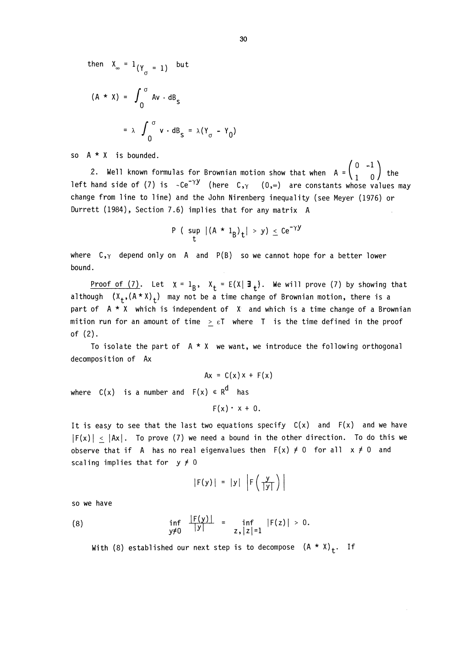then  $X_{\infty} = 1_{(\Upsilon_{\tau} = 1)}$  but

$$
(A * x) = \int_0^\sigma Av \cdot dB_s
$$
  
=  $\lambda \int_0^\sigma v \cdot dB_s = \lambda (Y_\sigma - Y_0)$ 

so A \* X is bounded.

2. Well known formulas for Brownian motion show that when  $A = \begin{pmatrix} 0 & -1 \\ 1 & 0 \end{pmatrix}$  the left hand side of (7) is  ${<}Ce^{-\gamma y}$  (here C, $\gamma$  (0, $\infty$ ) are constants whose values may change from line to line) and the John Nirenberg inequality (see Meyer (1976) or Durrett (1984), Section 7.6) implies that for any matrix A

$$
P\left(\begin{array}{c|c} \sup & (A * 1_B)_t \end{array}\right) > y) \leq Ce^{-\gamma y}
$$

where  $C_{,Y}$  depend only on A and P(B) so we cannot hope for a better lower bound.

Proof of (7). Let  $x = 1_B$ ,  $x_t = E(X | \exists_t)$ . We will prove (7) by showing that although  $(X_+, (A * X)_+)$  may not be a time change of Brownian motion, there is a part of A \* X which is independent of X and which is a time change of a Brownian mition run for an amount of time  $\geq \varepsilon$ T where T is the time defined in the proof of (2).

To isolate the part of  $A \times X$  we want, we introduce the following orthogonal decomposition of Ax

$$
Ax = C(x) x + F(x)
$$

where  $C(x)$  is a number and  $F(x) \in R^d$  has

$$
F(x) \cdot x + 0.
$$

It is easy to see that the last two equations specify  $C(x)$  and  $F(x)$  and we have  $|F(x)| < |Ax|$ . To prove (7) we need a bound in the other direction. To do this we observe that if A has no real eigenvalues then  $F(x) \neq 0$  for all  $x \neq 0$  and scaling implies that for  $y \neq 0$ 

$$
|F(y)| = |y| \left| F\left(\frac{y}{|y|}\right) \right|
$$

so we have

(8) 
$$
\inf_{y \neq 0} \frac{|F(y)|}{|y|} = \inf_{z, |z| = 1} |F(z)| > 0.
$$

With (8) established our next step is to decompose  $(A * x)_t$ . If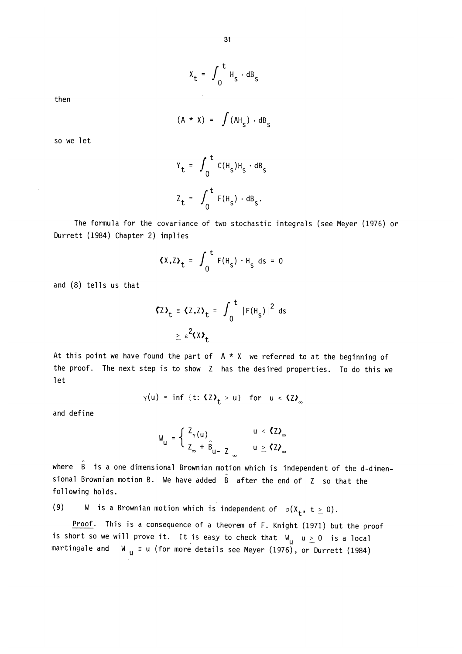$$
x_t = \int_0^t H_s \cdot dB_s
$$

then

$$
(A * x) = \int (AH_S) \cdot dB_S
$$

so we let

$$
Y_t = \int_0^t C(H_s)H_s \cdot dB_s
$$
  

$$
Z_t = \int_0^t F(H_s) \cdot dB_s.
$$

The formula for the covariance of two stochastic integrals (see Meyer (1976) or Durrett (1984) Chapter 2) implies

$$
\langle X, Z \rangle_t = \int_0^t F(H_s) \cdot H_s ds = 0
$$

and (8) tells us that

$$
\begin{aligned} \text{G2}_{t} &\equiv \text{G2}, \text{Z}_{t} = \int_{0}^{t} |F(H_{s})|^{2} \text{ ds} \\ &\geq \varepsilon^{2} \text{G2}_{t} \end{aligned}
$$

At this point we have found the part of  $A * X$  we referred to at the beginning of the proof. The next step is to show Z has the desired properties. To do this we let

$$
\gamma(u) = \inf \{t: \langle Z \rangle_t > u\}
$$
 for  $u < \langle Z \rangle_{\infty}$ 

and define

$$
W_{u} = \begin{cases} Z_{\gamma}(u) & u < 2\lambda_{\infty} \\ Z_{\infty} + \hat{B}_{u-2} & u \ge 2\lambda_{\infty} \end{cases}
$$

where  $\hat{B}$  is a one dimensional Brownian motion which is independent of the d-dimensional Brownian motion B. We have added  $\hat{B}$  after the end of Z so that the following holds.

(9) W is a Brownian motion which is independent of  $\sigma(X_t, t \ge 0)$ .

Proof. This is a consequence of a theorem of F. Knight (1971) but the proof is short so we will prove it. It is easy to check that  $W_{\text{u}} u \geq 0$  is a local martingale and W  $_{\text{u}}$  = u (for more details see Meyer (1976), or Durrett (1984)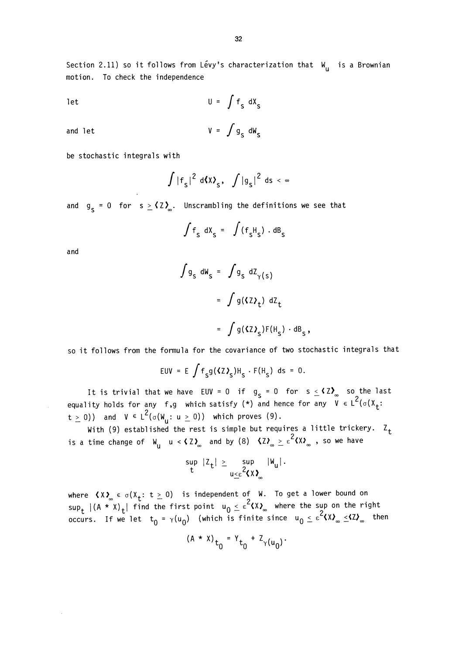Section 2.11) so it follows from Lévy's characterization that  $W_{11}$  is a Brownian motion. To check the independence

$$
U = \int f_S dX_S
$$

and let  $V = \int g_{\rm g} \, dW_{\rm g}$ 

be stochastic integrals with

$$
\int |f_{\mathsf{S}}|^2 \, \mathrm{d} \langle x \rangle_{\mathsf{S}}, \quad \int |g_{\mathsf{S}}|^2 \, \mathrm{d} s < \infty
$$

and  $g_c = 0$  for  $s \geq \langle Z \rangle_{\infty}$ . Unscrambling the definitions we see that

$$
\int f_{s} dx_{s} = \int (f_{s}H_{s}) \cdot dB_{s}
$$

and

$$
\int g_S dW_S = \int g_S dZ_{\gamma(S)}
$$
  
= 
$$
\int g(\langle Z \rangle_t) dZ_t
$$
  
= 
$$
\int g(\langle Z \rangle_s) F(H_S) \cdot dB_S,
$$

so it follows from the formula for the covariance of two stochastic integrals that

$$
EUV = E \int f_S g(\langle Z \rangle_S) H_S \cdot F(H_S) ds = 0.
$$

It is trivial that we have EUV = 0 if  $g_{\sf S}$  = 0 for  $\sf s\leq$  **(2)** so the last equality holds for any f,g which satisfy (\*) and hence for any V E  $t \geq 0$ )) and  $V \in L^2(\sigma(W_u: u \geq 0))$  which proves (9).

With (9) established the rest is simple but requires a little trickery.  $Z_t$ is a time change of  $W_{\text{U}}$  u <  $\langle Z \rangle_{\infty}$  and by (8)  $\langle Z \rangle_{\infty} \geq \epsilon^2 \langle X \rangle_{\infty}$  , so we have

$$
\sup_{t} |Z_t| \geq \sup_{u \leq \varepsilon} 2\|u\|_{\mathcal{U}}\|v_{u}\|.
$$

where  $\left\langle \lambda\right\rangle_{\infty}\in\sigma(X_{\textbf{t}}\colon\thinspace\textrm{t}\geq0)$  is independent of W. To get a lower bound on  $\sup_{\bf t}$   $|($ A \* X $){\bf _t}|$  find the first point  ${\bf u_0} \leq \varepsilon$  (X ${\bf \lambda_{\infty}^{*}}$  where the sup on the right occurs. If we let  $\rm t^{-1}_{0}$  =  $\gamma(\rm u^{-1}_{0})$  (which is finite since  $\rm u^{-1}_{0}$   $\leq$   $\epsilon$   $\rm t^{2/3}_{0}$   $\leq$   $\rm t^{2/3}_{0}$  then

$$
(A * x)t0 = Yt0 + ZY(u0).
$$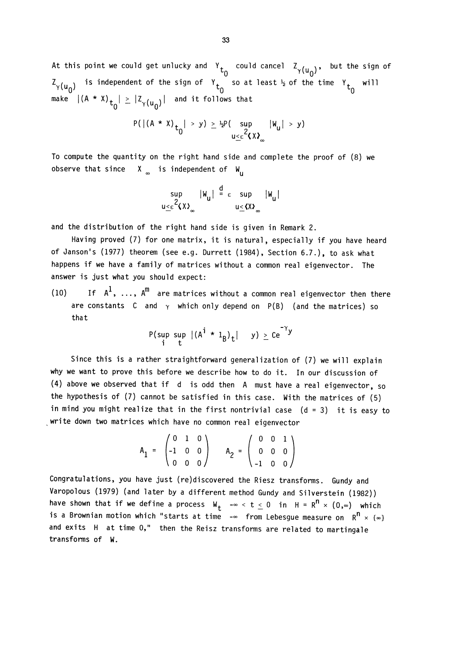At this point we could get unlucky and  $Y_{t_0}$  could cancel  $Z_{\gamma(u_0)}$ , but the sign of ) is independent of the sign of  $\begin{bmatrix} t_0 & 0 \end{bmatrix}$  at least  $\frac{1}{2}$  of the time  $\begin{bmatrix} t_0 & 0 \end{bmatrix}$ make  $|(A * x)|_{t_0}| \geq |z_{\gamma(u_0)}|$  and it follows that

$$
P(|(A * X)_{t_0}| > y) \ge \frac{1}{2}P(\sup_{u \le \epsilon^2 \langle X \rangle_{\infty}} |W_u| > y)
$$

To compute the quantity on the right hand side and complete the proof of (8) we observe that since  $X_{\infty}$  is independent of  $W_{\infty}$ 

$$
\begin{array}{c}\n\sup \quad |W_u| \stackrel{d}{=} \varepsilon \quad \sup \quad |W_u| \\
u \leq \varepsilon^2 \langle X \rangle_{\infty} \qquad \qquad u \leq \langle X \rangle_{\infty}\n\end{array}
$$

and the distribution of the right hand side is given in Remark 2.

Having proved (7) for one matrix, it is natural, especially if you have heard of Janson's (1977) theorem (see e.g. Durrett (1984), Section 6.7.), to ask what happens if we have a family of matrices without a common real eigenvector. The answer is just what you should expect:

(10) If  $A^1$ , ...,  $A^m$  are matrices without a common real eigenvector then there are constants C and  $\gamma$  which only depend on P(B) (and the matrices) so that

$$
\mathsf{P}(\sup_{i} \sup_{t} |(A^{i} \star 1_{B})_{t}| y) \geq C e^{-\gamma y}
$$

Since this is a rather straightforward generalization of (7) we will explain why we want to prove this before we describe how to do it. In our discussion of (4) above we observed that if d is odd then A must have a real eigenvector, so the hypothesis of (7) cannot be satisfied in this case. With the matrices of (5) in mind you might realize that in the first nontrivial case  $(d = 3)$  it is easy to write down two matrices which have no common real eigenvector

$$
A_1 = \begin{pmatrix} 0 & 1 & 0 \\ -1 & 0 & 0 \\ 0 & 0 & 0 \end{pmatrix} \qquad A_2 = \begin{pmatrix} 0 & 0 & 1 \\ 0 & 0 & 0 \\ -1 & 0 & 0 \end{pmatrix}
$$

Congratulations, you have just (re)discovered the Riesz transforms. Gundy and Varopolous (1979) (and later by a different method Gundy and Silverstein (1982)) have shown that if we define a process  $W_t$  - $\infty < t \leq 0$  in  $H = R^n \times (0, \infty)$  which is a Brownian motion which "starts at time  $-\infty$  from Lebesgue measure on  $R^n \times {\{\infty\}}$ and exits H at time 0," then the Reisz transforms are related to martingale transforms of W.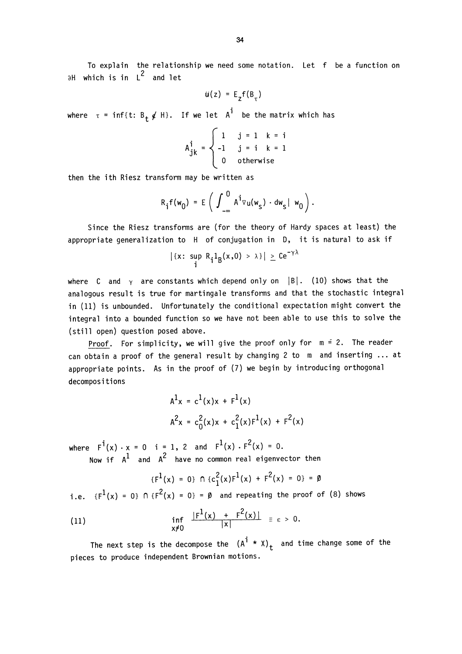To explain the relationship we need some notation. Let f be a function on  $\partial H$  which is in  $L^2$  and let

$$
u(z) = E_{z}f(B_{\tau})
$$

where  $\tau = \inf\{t: B_t \notin H\}$ . If we let  $A^{\dagger}$  be the matrix which has

$$
A_{jk}^{i} = \begin{cases} 1 & j = 1 \quad k = i \\ -1 & j = i \quad k = 1 \\ 0 & \text{otherwise} \end{cases}
$$

then the ith Riesz transform may be written as

$$
R_{\mathbf{i}}f(w_0) = E\left(\int_{-\infty}^{0} A^{\mathbf{i}}v_{\mathbf{u}}(w_{\mathbf{s}}) \cdot dw_{\mathbf{s}} | w_0\right).
$$

Since the Riesz transforms are (for the theory of Hardy spaces at least) the appropriate generalization to H of conjugation in D, it is natural to ask if

$$
|\{x: \sup_{i} R_{i}1_{B}(x,0) > \lambda\}| \geq C e^{-\gamma\lambda}
$$

where C and  $\gamma$  are constants which depend only on |B|. (10) shows that the analogous result is true for martingale transforms and that the stochastic integral in (11) is unbounded. Unfortunately the conditional expectation might convert the integral into a bounded function so we have not been able to use this to solve the (still open) question posed above.

Proof. For simplicity, we will give the proof only for  $m = 2$ . The reader can obtain a proof of the general result by changing 2 to m and inserting ... at appropriate points. As in the proof of (7) we begin by introducing orthogonal decompositions

$$
A^{1}x = c^{1}(x)x + F^{1}(x)
$$
  

$$
A^{2}x = c_{0}^{2}(x)x + c_{1}^{2}(x)F^{1}(x) + F^{2}(x)
$$

where  $F^{\perp}(x) \cdot x = 0$  i=1,2 and  $F^{\perp}(x) \cdot F^{\perp}(x) = 0.$ Now if  $A^{\mathsf{L}}$  and  $A^{\mathsf{L}}$  have no common real eigenvector then

$$
\{F^{1}(x) = 0\} \cap \{c_{1}^{2}(x)F^{1}(x) + F^{2}(x) = 0\} = \emptyset
$$

i.e.  $\{F^1(x) = 0\}$  N  $\{F^2(x) = 0\}$  =  $\emptyset$  and repeating the proof of (8) shows

(11) 
$$
\inf_{x\neq 0} \frac{|F^1(x) + F^2(x)|}{|x|} \equiv \epsilon > 0.
$$

The next step is the decompose the  $(A^{1} * x)_{t}$  and time change some of the pieces to produce independent Brownian motions.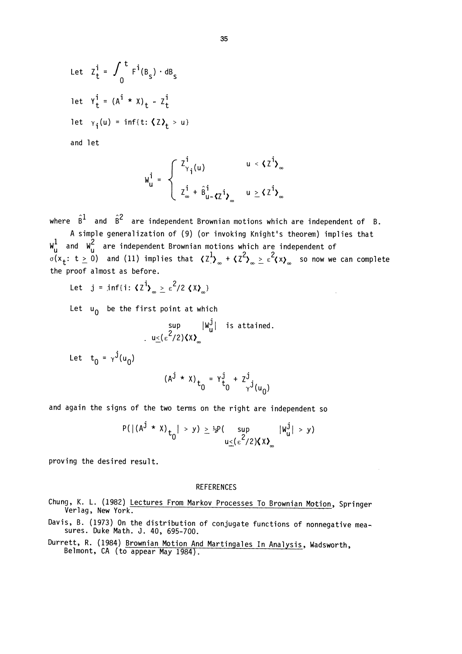Let 
$$
Z_t^i = \int_0^t F^i(B_s) \cdot dB_s
$$
  
let  $Y_t^i = (A^i \cdot X)_t - Z_t^i$   
let  $\gamma_i(u) = inf\{t: \langle Z \rangle_t > u\}$ 

and let

$$
w_{u}^{i} = \begin{cases} z_{\gamma_{i}}^{i}(u) & u < \zeta z^{i} \rangle_{\infty} \\ z_{\infty}^{i} + \hat{B}_{u - \zeta Z}^{i} i_{\gamma_{\infty}} & u \ge \zeta z^{i} \rangle_{\infty} \end{cases}
$$

where  $\hat{B}^1$  and  $\hat{B}^2$  are independent Brownian motions which are independent of B.

A simple generalization of (9) (or invoking Knight's theorem) implies that  $\mathsf{W}_{\mathsf{u}}^-$  are independent Brownian motions which are independent of  $\sigma(x_{\bf t}:$  t  $\geq 0)$  -and (11) implies that  $\left\langle Z_{\cdot}^{*}\right\rangle_{\infty}$  +  $\left\langle Z_{\cdot}^{*}\right\rangle_{\infty}\geq\varepsilon$   $\left\langle \chi\right\rangle_{\infty}$  -so now we can complete the proof almost as before.

Let  $j = \inf\{i : \langle \overline{z}^i \rangle \rightarrow \epsilon^2/2 \langle \overline{X} \rangle \}$ 

Let  $u_0$  be the first point at which

$$
\sup_{u \leq (\epsilon^2/2) \langle X \rangle_{\infty}} |w_u^j| \quad \text{is attained.}
$$

Let  $t_0 = \gamma^{j}(u_0)$ 

$$
(A^{j} \cdot X)_{t_0} = Y^{j}_{t_0} + Z^{j}_{y^{j}(u_0)}
$$

and again the signs of the two terms on the right are independent so

$$
P(|(A^{j} \star X)_{t_0}| > y) \geq \frac{1}{2}P(\sup_{u \leq (\epsilon^2/2) \langle X \rangle_{\infty}} |w_u^j| > y)
$$

proving the desired result.

#### **REFERENCES**

- Chung, K. L. (1982) Lectures From Markov Processes To Brownian Motion, Springer<br>Verlag, New York.
- Davis, B. (1973) On the distribution of conjugate functions of nonnegative measures. Duke Math. J. 40, 695-700.
- Durrett, R. (1984) Brownian Motion And Martingales In Analysis, Wadsworth,<br>Belmont, CA (to appear May 1984).